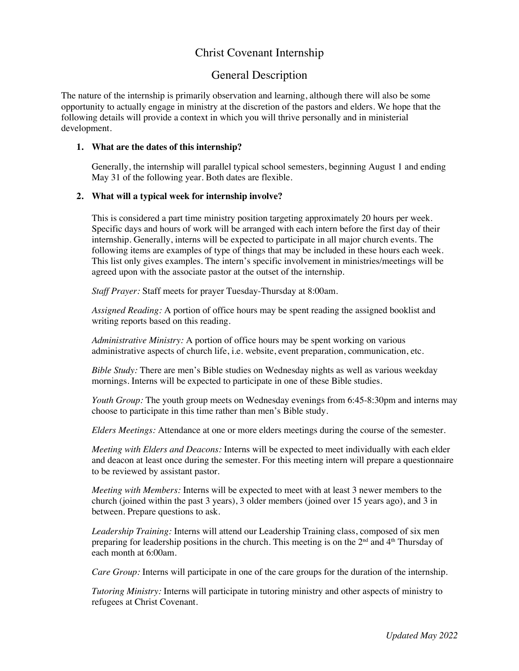# Christ Covenant Internship

## General Description

The nature of the internship is primarily observation and learning, although there will also be some opportunity to actually engage in ministry at the discretion of the pastors and elders. We hope that the following details will provide a context in which you will thrive personally and in ministerial development.

### **1. What are the dates of this internship?**

Generally, the internship will parallel typical school semesters, beginning August 1 and ending May 31 of the following year. Both dates are flexible.

## **2. What will a typical week for internship involve?**

This is considered a part time ministry position targeting approximately 20 hours per week. Specific days and hours of work will be arranged with each intern before the first day of their internship. Generally, interns will be expected to participate in all major church events. The following items are examples of type of things that may be included in these hours each week. This list only gives examples. The intern's specific involvement in ministries/meetings will be agreed upon with the associate pastor at the outset of the internship.

*Staff Prayer:* Staff meets for prayer Tuesday-Thursday at 8:00am.

*Assigned Reading:* A portion of office hours may be spent reading the assigned booklist and writing reports based on this reading.

*Administrative Ministry:* A portion of office hours may be spent working on various administrative aspects of church life, i.e. website, event preparation, communication, etc.

*Bible Study:* There are men's Bible studies on Wednesday nights as well as various weekday mornings. Interns will be expected to participate in one of these Bible studies.

*Youth Group:* The youth group meets on Wednesday evenings from 6:45-8:30pm and interns may choose to participate in this time rather than men's Bible study.

*Elders Meetings:* Attendance at one or more elders meetings during the course of the semester.

*Meeting with Elders and Deacons:* Interns will be expected to meet individually with each elder and deacon at least once during the semester. For this meeting intern will prepare a questionnaire to be reviewed by assistant pastor.

*Meeting with Members:* Interns will be expected to meet with at least 3 newer members to the church (joined within the past 3 years), 3 older members (joined over 15 years ago), and 3 in between. Prepare questions to ask.

*Leadership Training:* Interns will attend our Leadership Training class, composed of six men preparing for leadership positions in the church. This meeting is on the  $2<sup>nd</sup>$  and  $4<sup>th</sup>$  Thursday of each month at 6:00am.

*Care Group:* Interns will participate in one of the care groups for the duration of the internship.

*Tutoring Ministry:* Interns will participate in tutoring ministry and other aspects of ministry to refugees at Christ Covenant.